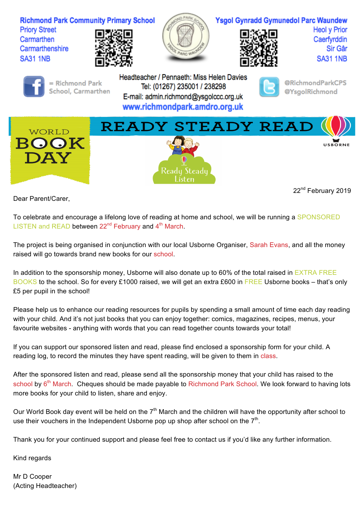

Dear Parent/Carer,

22<sup>nd</sup> February 2019

To celebrate and encourage a lifelong love of reading at home and school, we will be running a SPONSORED LISTEN and READ between  $22^{nd}$  February and  $4^{th}$  March.

The project is being organised in conjunction with our local Usborne Organiser, Sarah Evans, and all the money raised will go towards brand new books for our school.

In addition to the sponsorship money, Usborne will also donate up to 60% of the total raised in EXTRA FREE BOOKS to the school. So for every £1000 raised, we will get an extra £600 in FREE Usborne books – that's only £5 per pupil in the school!

Please help us to enhance our reading resources for pupils by spending a small amount of time each day reading with your child. And it's not just books that you can enjoy together: comics, magazines, recipes, menus, your favourite websites - anything with words that you can read together counts towards your total!

If you can support our sponsored listen and read, please find enclosed a sponsorship form for your child. A reading log, to record the minutes they have spent reading, will be given to them in class.

After the sponsored listen and read, please send all the sponsorship money that your child has raised to the school by 6<sup>th</sup> March. Cheques should be made payable to Richmond Park School. We look forward to having lots more books for your child to listen, share and enjoy.

Our World Book day event will be held on the  $7<sup>th</sup>$  March and the children will have the opportunity after school to use their vouchers in the Independent Usborne pop up shop after school on the  $7<sup>th</sup>$ .

Thank you for your continued support and please feel free to contact us if you'd like any further information.

Kind regards

Mr D Cooper (Acting Headteacher)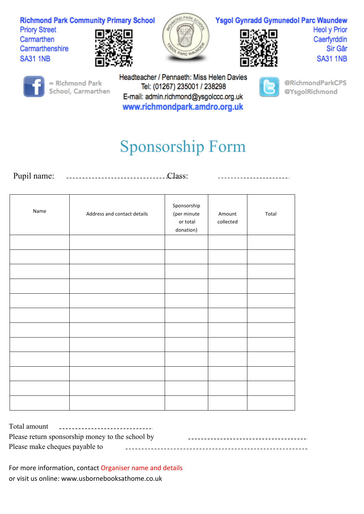**Richmond Park Community Primary School Priory Street** Carmarthen Carmarthenshire





## **Ysgol Gynradd Gymunedol Parc Waundew**

**Heol y Prior** Caerfyrddin Sir Gâr **SA31 1NB** 



**SA31 1NB** 

= Richmond Park School, Carmarthen Headteacher / Pennaeth: Miss Helen Davies Tel: (01267) 235001 / 238298 E-mail: admin.richmond@ysgolccc.org.uk www.richmondpark.amdro.org.uk



@RichmondParkCPS @YsgolRichmond

## Sponsorship Form

Pupil name: Class: \_\_\_\_\_\_\_\_\_\_\_\_\_\_\_\_\_\_\_\_

| Name | Address and contact details | Sponsorship<br>(per minute<br>or total<br>donation) | Amount<br>collected | Total |
|------|-----------------------------|-----------------------------------------------------|---------------------|-------|
|      |                             |                                                     |                     |       |
|      |                             |                                                     |                     |       |
|      |                             |                                                     |                     |       |
|      |                             |                                                     |                     |       |
|      |                             |                                                     |                     |       |
|      |                             |                                                     |                     |       |
|      |                             |                                                     |                     |       |
|      |                             |                                                     |                     |       |
|      |                             |                                                     |                     |       |
|      |                             |                                                     |                     |       |
|      |                             |                                                     |                     |       |
|      |                             |                                                     |                     |       |

| Total amount<br>___________________________________ |  |
|-----------------------------------------------------|--|
| Please return sponsorship money to the school by    |  |
| Please make cheques payable to                      |  |

For more information, contact Organiser name and details or visit us online: www.usbornebooksathome.co.uk